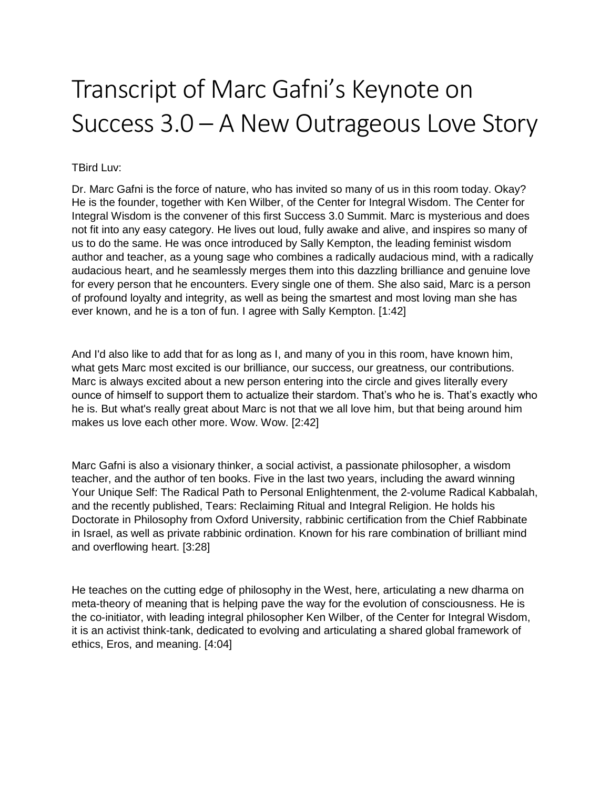## Transcript of Marc Gafni's Keynote on Success 3.0 – A New Outrageous Love Story

## TBird Luv:

Dr. Marc Gafni is the force of nature, who has invited so many of us in this room today. Okay? He is the founder, together with Ken Wilber, of the Center for Integral Wisdom. The Center for Integral Wisdom is the convener of this first Success 3.0 Summit. Marc is mysterious and does not fit into any easy category. He lives out loud, fully awake and alive, and inspires so many of us to do the same. He was once introduced by Sally Kempton, the leading feminist wisdom author and teacher, as a young sage who combines a radically audacious mind, with a radically audacious heart, and he seamlessly merges them into this dazzling brilliance and genuine love for every person that he encounters. Every single one of them. She also said, Marc is a person of profound loyalty and integrity, as well as being the smartest and most loving man she has ever known, and he is a ton of fun. I agree with Sally Kempton. [1:42]

And I'd also like to add that for as long as I, and many of you in this room, have known him, what gets Marc most excited is our brilliance, our success, our greatness, our contributions. Marc is always excited about a new person entering into the circle and gives literally every ounce of himself to support them to actualize their stardom. That's who he is. That's exactly who he is. But what's really great about Marc is not that we all love him, but that being around him makes us love each other more. Wow. Wow. [2:42]

Marc Gafni is also a visionary thinker, a social activist, a passionate philosopher, a wisdom teacher, and the author of ten books. Five in the last two years, including the award winning Your Unique Self: The Radical Path to Personal Enlightenment, the 2-volume Radical Kabbalah, and the recently published, Tears: Reclaiming Ritual and Integral Religion. He holds his Doctorate in Philosophy from Oxford University, rabbinic certification from the Chief Rabbinate in Israel, as well as private rabbinic ordination. Known for his rare combination of brilliant mind and overflowing heart. [3:28]

He teaches on the cutting edge of philosophy in the West, here, articulating a new dharma on meta-theory of meaning that is helping pave the way for the evolution of consciousness. He is the co-initiator, with leading integral philosopher Ken Wilber, of the Center for Integral Wisdom, it is an activist think-tank, dedicated to evolving and articulating a shared global framework of ethics, Eros, and meaning. [4:04]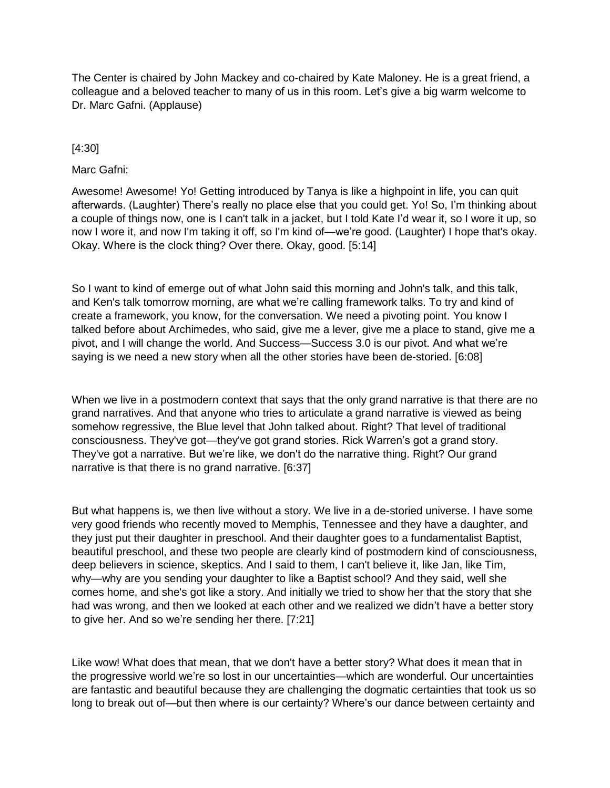The Center is chaired by John Mackey and co-chaired by Kate Maloney. He is a great friend, a colleague and a beloved teacher to many of us in this room. Let's give a big warm welcome to Dr. Marc Gafni. (Applause)

## [4:30]

Marc Gafni:

Awesome! Awesome! Yo! Getting introduced by Tanya is like a highpoint in life, you can quit afterwards. (Laughter) There's really no place else that you could get. Yo! So, I'm thinking about a couple of things now, one is I can't talk in a jacket, but I told Kate I'd wear it, so I wore it up, so now I wore it, and now I'm taking it off, so I'm kind of—we're good. (Laughter) I hope that's okay. Okay. Where is the clock thing? Over there. Okay, good. [5:14]

So I want to kind of emerge out of what John said this morning and John's talk, and this talk, and Ken's talk tomorrow morning, are what we're calling framework talks. To try and kind of create a framework, you know, for the conversation. We need a pivoting point. You know I talked before about Archimedes, who said, give me a lever, give me a place to stand, give me a pivot, and I will change the world. And Success—Success 3.0 is our pivot. And what we're saying is we need a new story when all the other stories have been de-storied. [6:08]

When we live in a postmodern context that says that the only grand narrative is that there are no grand narratives. And that anyone who tries to articulate a grand narrative is viewed as being somehow regressive, the Blue level that John talked about. Right? That level of traditional consciousness. They've got—they've got grand stories. Rick Warren's got a grand story. They've got a narrative. But we're like, we don't do the narrative thing. Right? Our grand narrative is that there is no grand narrative. [6:37]

But what happens is, we then live without a story. We live in a de-storied universe. I have some very good friends who recently moved to Memphis, Tennessee and they have a daughter, and they just put their daughter in preschool. And their daughter goes to a fundamentalist Baptist, beautiful preschool, and these two people are clearly kind of postmodern kind of consciousness, deep believers in science, skeptics. And I said to them, I can't believe it, like Jan, like Tim, why—why are you sending your daughter to like a Baptist school? And they said, well she comes home, and she's got like a story. And initially we tried to show her that the story that she had was wrong, and then we looked at each other and we realized we didn't have a better story to give her. And so we're sending her there. [7:21]

Like wow! What does that mean, that we don't have a better story? What does it mean that in the progressive world we're so lost in our uncertainties—which are wonderful. Our uncertainties are fantastic and beautiful because they are challenging the dogmatic certainties that took us so long to break out of—but then where is our certainty? Where's our dance between certainty and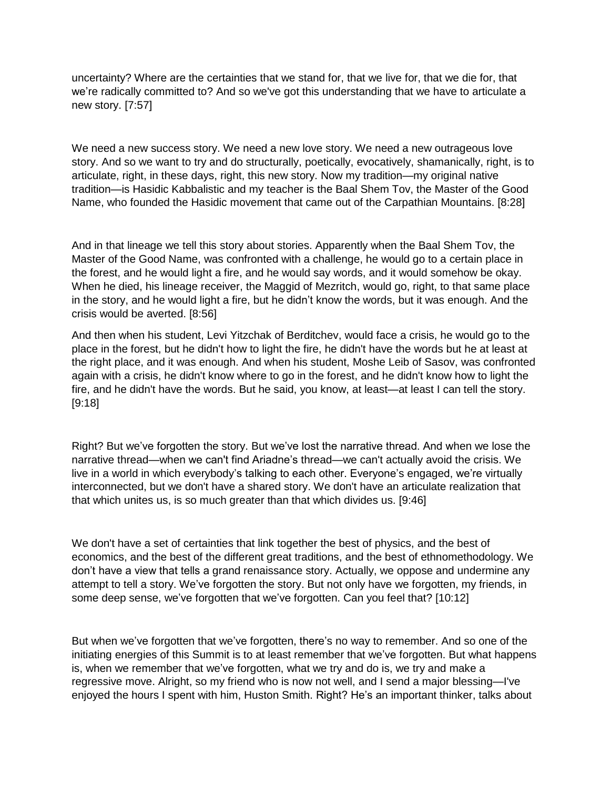uncertainty? Where are the certainties that we stand for, that we live for, that we die for, that we're radically committed to? And so we've got this understanding that we have to articulate a new story. [7:57]

We need a new success story. We need a new love story. We need a new outrageous love story. And so we want to try and do structurally, poetically, evocatively, shamanically, right, is to articulate, right, in these days, right, this new story. Now my tradition—my original native tradition—is Hasidic Kabbalistic and my teacher is the Baal Shem Tov, the Master of the Good Name, who founded the Hasidic movement that came out of the Carpathian Mountains. [8:28]

And in that lineage we tell this story about stories. Apparently when the Baal Shem Tov, the Master of the Good Name, was confronted with a challenge, he would go to a certain place in the forest, and he would light a fire, and he would say words, and it would somehow be okay. When he died, his lineage receiver, the Maggid of Mezritch, would go, right, to that same place in the story, and he would light a fire, but he didn't know the words, but it was enough. And the crisis would be averted. [8:56]

And then when his student, Levi Yitzchak of Berditchev, would face a crisis, he would go to the place in the forest, but he didn't how to light the fire, he didn't have the words but he at least at the right place, and it was enough. And when his student, Moshe Leib of Sasov, was confronted again with a crisis, he didn't know where to go in the forest, and he didn't know how to light the fire, and he didn't have the words. But he said, you know, at least—at least I can tell the story. [9:18]

Right? But we've forgotten the story. But we've lost the narrative thread. And when we lose the narrative thread—when we can't find Ariadne's thread—we can't actually avoid the crisis. We live in a world in which everybody's talking to each other. Everyone's engaged, we're virtually interconnected, but we don't have a shared story. We don't have an articulate realization that that which unites us, is so much greater than that which divides us. [9:46]

We don't have a set of certainties that link together the best of physics, and the best of economics, and the best of the different great traditions, and the best of ethnomethodology. We don't have a view that tells a grand renaissance story. Actually, we oppose and undermine any attempt to tell a story. We've forgotten the story. But not only have we forgotten, my friends, in some deep sense, we've forgotten that we've forgotten. Can you feel that? [10:12]

But when we've forgotten that we've forgotten, there's no way to remember. And so one of the initiating energies of this Summit is to at least remember that we've forgotten. But what happens is, when we remember that we've forgotten, what we try and do is, we try and make a regressive move. Alright, so my friend who is now not well, and I send a major blessing—I've enjoyed the hours I spent with him, Huston Smith. Right? He's an important thinker, talks about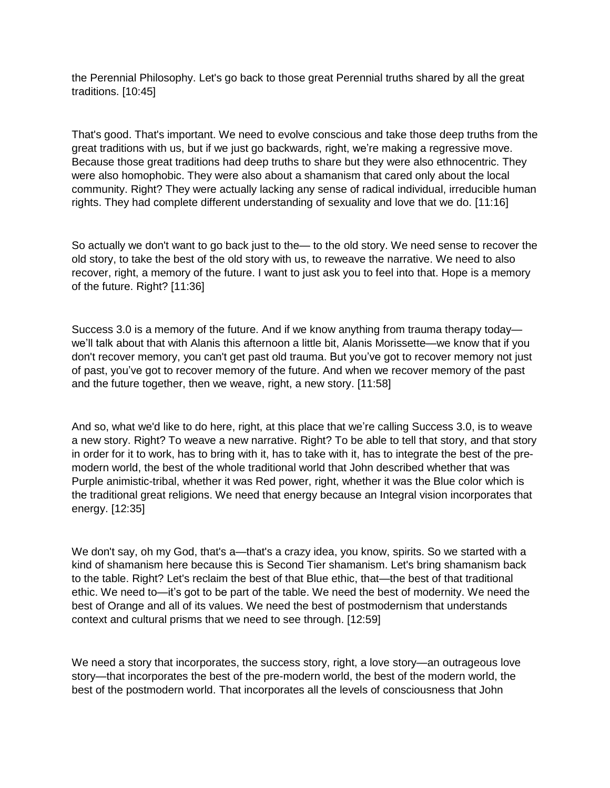the Perennial Philosophy. Let's go back to those great Perennial truths shared by all the great traditions. [10:45]

That's good. That's important. We need to evolve conscious and take those deep truths from the great traditions with us, but if we just go backwards, right, we're making a regressive move. Because those great traditions had deep truths to share but they were also ethnocentric. They were also homophobic. They were also about a shamanism that cared only about the local community. Right? They were actually lacking any sense of radical individual, irreducible human rights. They had complete different understanding of sexuality and love that we do. [11:16]

So actually we don't want to go back just to the— to the old story. We need sense to recover the old story, to take the best of the old story with us, to reweave the narrative. We need to also recover, right, a memory of the future. I want to just ask you to feel into that. Hope is a memory of the future. Right? [11:36]

Success 3.0 is a memory of the future. And if we know anything from trauma therapy today we'll talk about that with Alanis this afternoon a little bit, Alanis Morissette—we know that if you don't recover memory, you can't get past old trauma. But you've got to recover memory not just of past, you've got to recover memory of the future. And when we recover memory of the past and the future together, then we weave, right, a new story. [11:58]

And so, what we'd like to do here, right, at this place that we're calling Success 3.0, is to weave a new story. Right? To weave a new narrative. Right? To be able to tell that story, and that story in order for it to work, has to bring with it, has to take with it, has to integrate the best of the premodern world, the best of the whole traditional world that John described whether that was Purple animistic-tribal, whether it was Red power, right, whether it was the Blue color which is the traditional great religions. We need that energy because an Integral vision incorporates that energy. [12:35]

We don't say, oh my God, that's a—that's a crazy idea, you know, spirits. So we started with a kind of shamanism here because this is Second Tier shamanism. Let's bring shamanism back to the table. Right? Let's reclaim the best of that Blue ethic, that—the best of that traditional ethic. We need to—it's got to be part of the table. We need the best of modernity. We need the best of Orange and all of its values. We need the best of postmodernism that understands context and cultural prisms that we need to see through. [12:59]

We need a story that incorporates, the success story, right, a love story—an outrageous love story—that incorporates the best of the pre-modern world, the best of the modern world, the best of the postmodern world. That incorporates all the levels of consciousness that John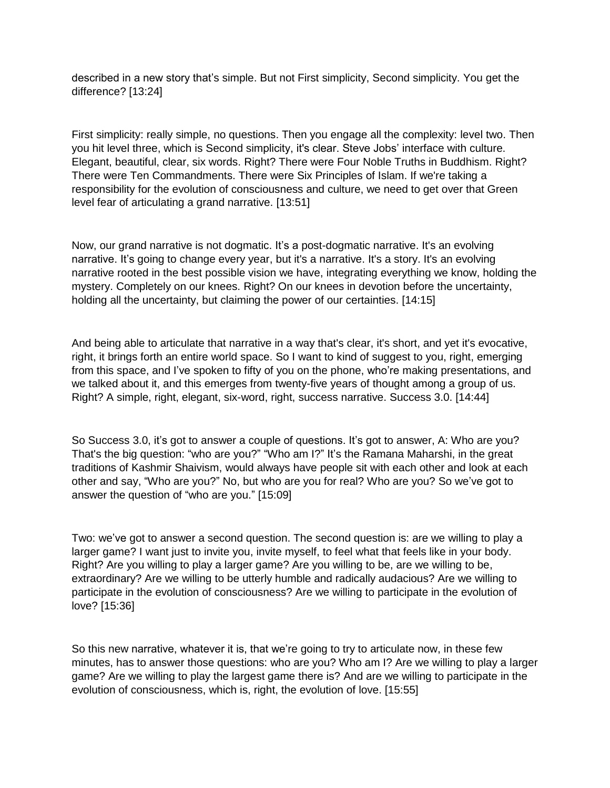described in a new story that's simple. But not First simplicity, Second simplicity. You get the difference? [13:24]

First simplicity: really simple, no questions. Then you engage all the complexity: level two. Then you hit level three, which is Second simplicity, it's clear. Steve Jobs' interface with culture. Elegant, beautiful, clear, six words. Right? There were Four Noble Truths in Buddhism. Right? There were Ten Commandments. There were Six Principles of Islam. If we're taking a responsibility for the evolution of consciousness and culture, we need to get over that Green level fear of articulating a grand narrative. [13:51]

Now, our grand narrative is not dogmatic. It's a post-dogmatic narrative. It's an evolving narrative. It's going to change every year, but it's a narrative. It's a story. It's an evolving narrative rooted in the best possible vision we have, integrating everything we know, holding the mystery. Completely on our knees. Right? On our knees in devotion before the uncertainty, holding all the uncertainty, but claiming the power of our certainties. [14:15]

And being able to articulate that narrative in a way that's clear, it's short, and yet it's evocative, right, it brings forth an entire world space. So I want to kind of suggest to you, right, emerging from this space, and I've spoken to fifty of you on the phone, who're making presentations, and we talked about it, and this emerges from twenty-five years of thought among a group of us. Right? A simple, right, elegant, six-word, right, success narrative. Success 3.0. [14:44]

So Success 3.0, it's got to answer a couple of questions. It's got to answer, A: Who are you? That's the big question: "who are you?" "Who am I?" It's the Ramana Maharshi, in the great traditions of Kashmir Shaivism, would always have people sit with each other and look at each other and say, "Who are you?" No, but who are you for real? Who are you? So we've got to answer the question of "who are you." [15:09]

Two: we've got to answer a second question. The second question is: are we willing to play a larger game? I want just to invite you, invite myself, to feel what that feels like in your body. Right? Are you willing to play a larger game? Are you willing to be, are we willing to be, extraordinary? Are we willing to be utterly humble and radically audacious? Are we willing to participate in the evolution of consciousness? Are we willing to participate in the evolution of love? [15:36]

So this new narrative, whatever it is, that we're going to try to articulate now, in these few minutes, has to answer those questions: who are you? Who am I? Are we willing to play a larger game? Are we willing to play the largest game there is? And are we willing to participate in the evolution of consciousness, which is, right, the evolution of love. [15:55]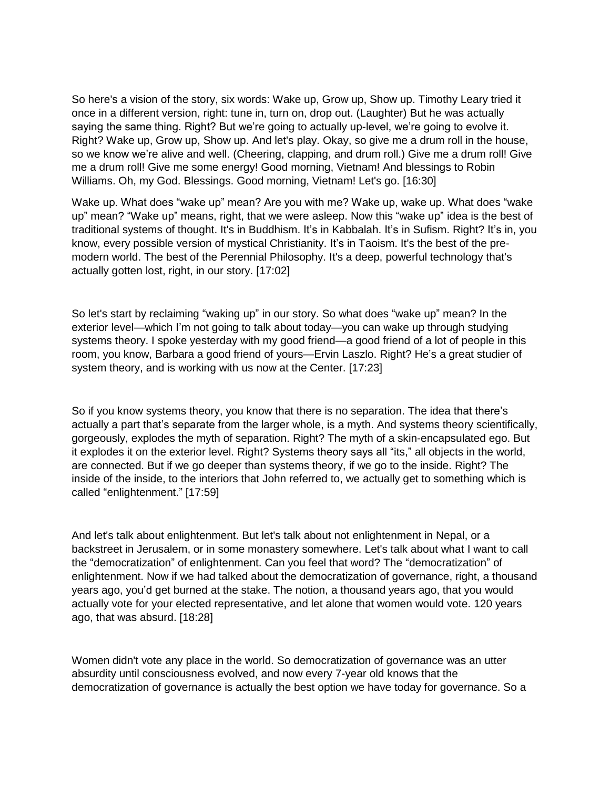So here's a vision of the story, six words: Wake up, Grow up, Show up. Timothy Leary tried it once in a different version, right: tune in, turn on, drop out. (Laughter) But he was actually saying the same thing. Right? But we're going to actually up-level, we're going to evolve it. Right? Wake up, Grow up, Show up. And let's play. Okay, so give me a drum roll in the house, so we know we're alive and well. (Cheering, clapping, and drum roll.) Give me a drum roll! Give me a drum roll! Give me some energy! Good morning, Vietnam! And blessings to Robin Williams. Oh, my God. Blessings. Good morning, Vietnam! Let's go. [16:30]

Wake up. What does "wake up" mean? Are you with me? Wake up, wake up. What does "wake up" mean? "Wake up" means, right, that we were asleep. Now this "wake up" idea is the best of traditional systems of thought. It's in Buddhism. It's in Kabbalah. It's in Sufism. Right? It's in, you know, every possible version of mystical Christianity. It's in Taoism. It's the best of the premodern world. The best of the Perennial Philosophy. It's a deep, powerful technology that's actually gotten lost, right, in our story. [17:02]

So let's start by reclaiming "waking up" in our story. So what does "wake up" mean? In the exterior level—which I'm not going to talk about today—you can wake up through studying systems theory. I spoke yesterday with my good friend—a good friend of a lot of people in this room, you know, Barbara a good friend of yours—Ervin Laszlo. Right? He's a great studier of system theory, and is working with us now at the Center. [17:23]

So if you know systems theory, you know that there is no separation. The idea that there's actually a part that's separate from the larger whole, is a myth. And systems theory scientifically, gorgeously, explodes the myth of separation. Right? The myth of a skin-encapsulated ego. But it explodes it on the exterior level. Right? Systems theory says all "its," all objects in the world, are connected. But if we go deeper than systems theory, if we go to the inside. Right? The inside of the inside, to the interiors that John referred to, we actually get to something which is called "enlightenment." [17:59]

And let's talk about enlightenment. But let's talk about not enlightenment in Nepal, or a backstreet in Jerusalem, or in some monastery somewhere. Let's talk about what I want to call the "democratization" of enlightenment. Can you feel that word? The "democratization" of enlightenment. Now if we had talked about the democratization of governance, right, a thousand years ago, you'd get burned at the stake. The notion, a thousand years ago, that you would actually vote for your elected representative, and let alone that women would vote. 120 years ago, that was absurd. [18:28]

Women didn't vote any place in the world. So democratization of governance was an utter absurdity until consciousness evolved, and now every 7-year old knows that the democratization of governance is actually the best option we have today for governance. So a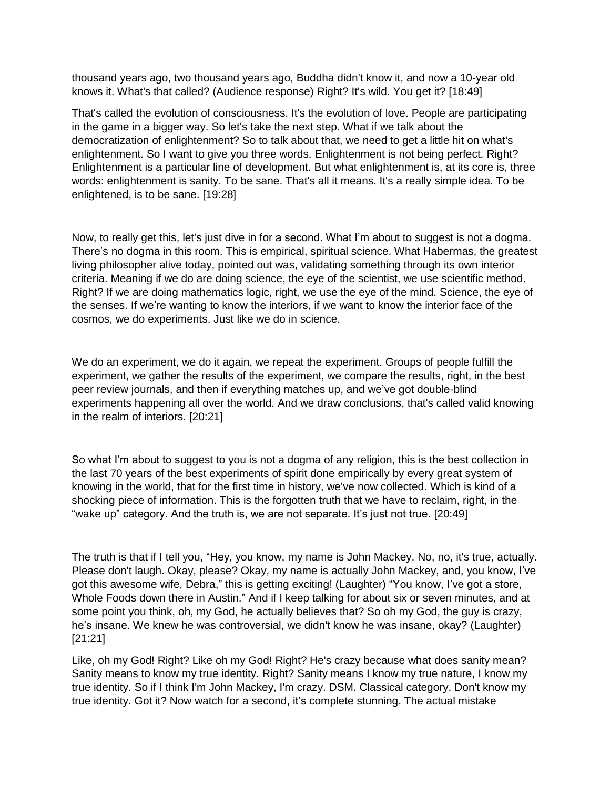thousand years ago, two thousand years ago, Buddha didn't know it, and now a 10-year old knows it. What's that called? (Audience response) Right? It's wild. You get it? [18:49]

That's called the evolution of consciousness. It's the evolution of love. People are participating in the game in a bigger way. So let's take the next step. What if we talk about the democratization of enlightenment? So to talk about that, we need to get a little hit on what's enlightenment. So I want to give you three words. Enlightenment is not being perfect. Right? Enlightenment is a particular line of development. But what enlightenment is, at its core is, three words: enlightenment is sanity. To be sane. That's all it means. It's a really simple idea. To be enlightened, is to be sane. [19:28]

Now, to really get this, let's just dive in for a second. What I'm about to suggest is not a dogma. There's no dogma in this room. This is empirical, spiritual science. What Habermas, the greatest living philosopher alive today, pointed out was, validating something through its own interior criteria. Meaning if we do are doing science, the eye of the scientist, we use scientific method. Right? If we are doing mathematics logic, right, we use the eye of the mind. Science, the eye of the senses. If we're wanting to know the interiors, if we want to know the interior face of the cosmos, we do experiments. Just like we do in science.

We do an experiment, we do it again, we repeat the experiment. Groups of people fulfill the experiment, we gather the results of the experiment, we compare the results, right, in the best peer review journals, and then if everything matches up, and we've got double-blind experiments happening all over the world. And we draw conclusions, that's called valid knowing in the realm of interiors. [20:21]

So what I'm about to suggest to you is not a dogma of any religion, this is the best collection in the last 70 years of the best experiments of spirit done empirically by every great system of knowing in the world, that for the first time in history, we've now collected. Which is kind of a shocking piece of information. This is the forgotten truth that we have to reclaim, right, in the "wake up" category. And the truth is, we are not separate. It's just not true. [20:49]

The truth is that if I tell you, "Hey, you know, my name is John Mackey. No, no, it's true, actually. Please don't laugh. Okay, please? Okay, my name is actually John Mackey, and, you know, I've got this awesome wife, Debra," this is getting exciting! (Laughter) "You know, I've got a store, Whole Foods down there in Austin." And if I keep talking for about six or seven minutes, and at some point you think, oh, my God, he actually believes that? So oh my God, the guy is crazy, he's insane. We knew he was controversial, we didn't know he was insane, okay? (Laughter) [21:21]

Like, oh my God! Right? Like oh my God! Right? He's crazy because what does sanity mean? Sanity means to know my true identity. Right? Sanity means I know my true nature, I know my true identity. So if I think I'm John Mackey, I'm crazy. DSM. Classical category. Don't know my true identity. Got it? Now watch for a second, it's complete stunning. The actual mistake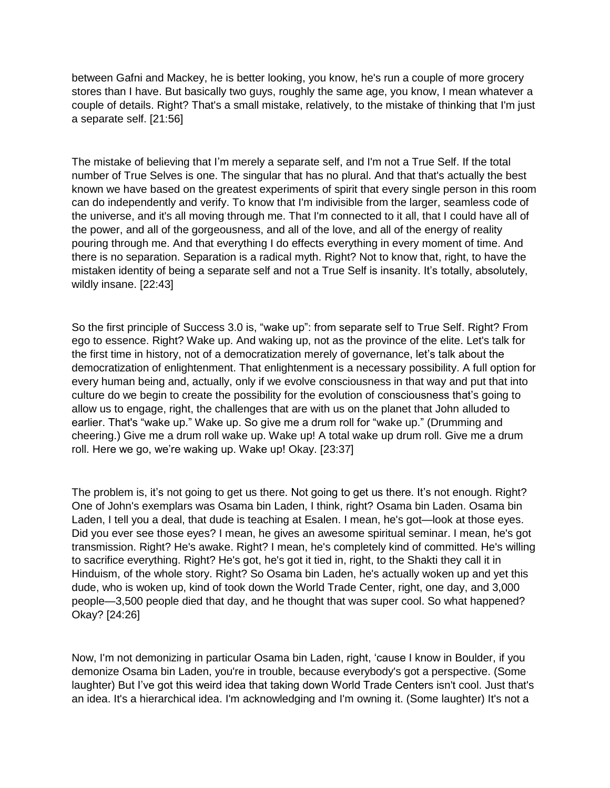between Gafni and Mackey, he is better looking, you know, he's run a couple of more grocery stores than I have. But basically two guys, roughly the same age, you know, I mean whatever a couple of details. Right? That's a small mistake, relatively, to the mistake of thinking that I'm just a separate self. [21:56]

The mistake of believing that I'm merely a separate self, and I'm not a True Self. If the total number of True Selves is one. The singular that has no plural. And that that's actually the best known we have based on the greatest experiments of spirit that every single person in this room can do independently and verify. To know that I'm indivisible from the larger, seamless code of the universe, and it's all moving through me. That I'm connected to it all, that I could have all of the power, and all of the gorgeousness, and all of the love, and all of the energy of reality pouring through me. And that everything I do effects everything in every moment of time. And there is no separation. Separation is a radical myth. Right? Not to know that, right, to have the mistaken identity of being a separate self and not a True Self is insanity. It's totally, absolutely, wildly insane. [22:43]

So the first principle of Success 3.0 is, "wake up": from separate self to True Self. Right? From ego to essence. Right? Wake up. And waking up, not as the province of the elite. Let's talk for the first time in history, not of a democratization merely of governance, let's talk about the democratization of enlightenment. That enlightenment is a necessary possibility. A full option for every human being and, actually, only if we evolve consciousness in that way and put that into culture do we begin to create the possibility for the evolution of consciousness that's going to allow us to engage, right, the challenges that are with us on the planet that John alluded to earlier. That's "wake up." Wake up. So give me a drum roll for "wake up." (Drumming and cheering.) Give me a drum roll wake up. Wake up! A total wake up drum roll. Give me a drum roll. Here we go, we're waking up. Wake up! Okay. [23:37]

The problem is, it's not going to get us there. Not going to get us there. It's not enough. Right? One of John's exemplars was Osama bin Laden, I think, right? Osama bin Laden. Osama bin Laden, I tell you a deal, that dude is teaching at Esalen. I mean, he's got—look at those eyes. Did you ever see those eyes? I mean, he gives an awesome spiritual seminar. I mean, he's got transmission. Right? He's awake. Right? I mean, he's completely kind of committed. He's willing to sacrifice everything. Right? He's got, he's got it tied in, right, to the Shakti they call it in Hinduism, of the whole story. Right? So Osama bin Laden, he's actually woken up and yet this dude, who is woken up, kind of took down the World Trade Center, right, one day, and 3,000 people—3,500 people died that day, and he thought that was super cool. So what happened? Okay? [24:26]

Now, I'm not demonizing in particular Osama bin Laden, right, 'cause I know in Boulder, if you demonize Osama bin Laden, you're in trouble, because everybody's got a perspective. (Some laughter) But I've got this weird idea that taking down World Trade Centers isn't cool. Just that's an idea. It's a hierarchical idea. I'm acknowledging and I'm owning it. (Some laughter) It's not a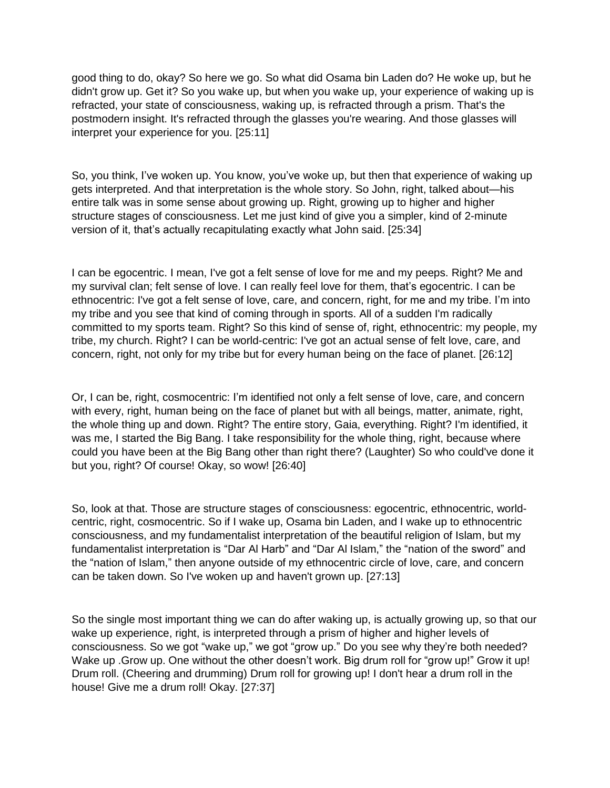good thing to do, okay? So here we go. So what did Osama bin Laden do? He woke up, but he didn't grow up. Get it? So you wake up, but when you wake up, your experience of waking up is refracted, your state of consciousness, waking up, is refracted through a prism. That's the postmodern insight. It's refracted through the glasses you're wearing. And those glasses will interpret your experience for you. [25:11]

So, you think, I've woken up. You know, you've woke up, but then that experience of waking up gets interpreted. And that interpretation is the whole story. So John, right, talked about—his entire talk was in some sense about growing up. Right, growing up to higher and higher structure stages of consciousness. Let me just kind of give you a simpler, kind of 2-minute version of it, that's actually recapitulating exactly what John said. [25:34]

I can be egocentric. I mean, I've got a felt sense of love for me and my peeps. Right? Me and my survival clan; felt sense of love. I can really feel love for them, that's egocentric. I can be ethnocentric: I've got a felt sense of love, care, and concern, right, for me and my tribe. I'm into my tribe and you see that kind of coming through in sports. All of a sudden I'm radically committed to my sports team. Right? So this kind of sense of, right, ethnocentric: my people, my tribe, my church. Right? I can be world-centric: I've got an actual sense of felt love, care, and concern, right, not only for my tribe but for every human being on the face of planet. [26:12]

Or, I can be, right, cosmocentric: I'm identified not only a felt sense of love, care, and concern with every, right, human being on the face of planet but with all beings, matter, animate, right, the whole thing up and down. Right? The entire story, Gaia, everything. Right? I'm identified, it was me, I started the Big Bang. I take responsibility for the whole thing, right, because where could you have been at the Big Bang other than right there? (Laughter) So who could've done it but you, right? Of course! Okay, so wow! [26:40]

So, look at that. Those are structure stages of consciousness: egocentric, ethnocentric, worldcentric, right, cosmocentric. So if I wake up, Osama bin Laden, and I wake up to ethnocentric consciousness, and my fundamentalist interpretation of the beautiful religion of Islam, but my fundamentalist interpretation is "Dar Al Harb" and "Dar Al Islam," the "nation of the sword" and the "nation of Islam," then anyone outside of my ethnocentric circle of love, care, and concern can be taken down. So I've woken up and haven't grown up. [27:13]

So the single most important thing we can do after waking up, is actually growing up, so that our wake up experience, right, is interpreted through a prism of higher and higher levels of consciousness. So we got "wake up," we got "grow up." Do you see why they're both needed? Wake up .Grow up. One without the other doesn't work. Big drum roll for "grow up!" Grow it up! Drum roll. (Cheering and drumming) Drum roll for growing up! I don't hear a drum roll in the house! Give me a drum roll! Okay. [27:37]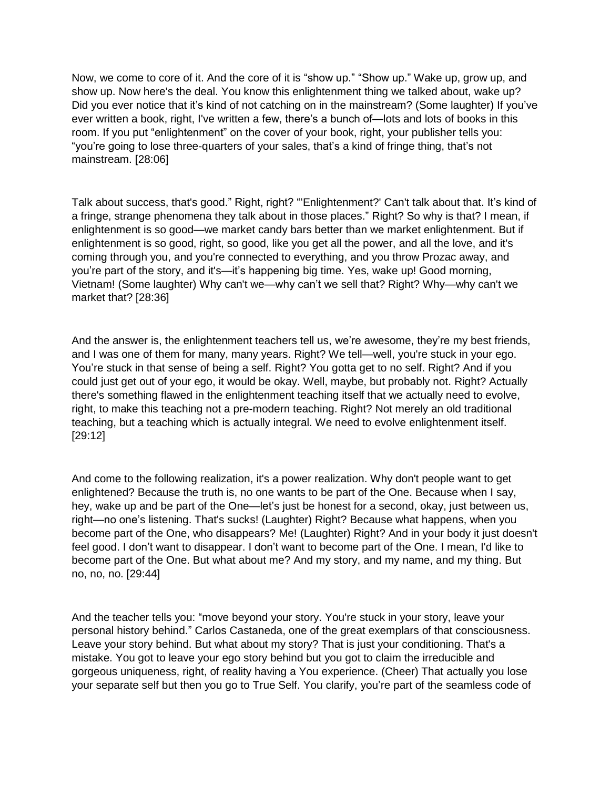Now, we come to core of it. And the core of it is "show up." "Show up." Wake up, grow up, and show up. Now here's the deal. You know this enlightenment thing we talked about, wake up? Did you ever notice that it's kind of not catching on in the mainstream? (Some laughter) If you've ever written a book, right, I've written a few, there's a bunch of—lots and lots of books in this room. If you put "enlightenment" on the cover of your book, right, your publisher tells you: "you're going to lose three-quarters of your sales, that's a kind of fringe thing, that's not mainstream. [28:06]

Talk about success, that's good." Right, right? "'Enlightenment?' Can't talk about that. It's kind of a fringe, strange phenomena they talk about in those places." Right? So why is that? I mean, if enlightenment is so good—we market candy bars better than we market enlightenment. But if enlightenment is so good, right, so good, like you get all the power, and all the love, and it's coming through you, and you're connected to everything, and you throw Prozac away, and you're part of the story, and it's—it's happening big time. Yes, wake up! Good morning, Vietnam! (Some laughter) Why can't we—why can't we sell that? Right? Why—why can't we market that? [28:36]

And the answer is, the enlightenment teachers tell us, we're awesome, they're my best friends, and I was one of them for many, many years. Right? We tell—well, you're stuck in your ego. You're stuck in that sense of being a self. Right? You gotta get to no self. Right? And if you could just get out of your ego, it would be okay. Well, maybe, but probably not. Right? Actually there's something flawed in the enlightenment teaching itself that we actually need to evolve, right, to make this teaching not a pre-modern teaching. Right? Not merely an old traditional teaching, but a teaching which is actually integral. We need to evolve enlightenment itself. [29:12]

And come to the following realization, it's a power realization. Why don't people want to get enlightened? Because the truth is, no one wants to be part of the One. Because when I say, hey, wake up and be part of the One—let's just be honest for a second, okay, just between us, right—no one's listening. That's sucks! (Laughter) Right? Because what happens, when you become part of the One, who disappears? Me! (Laughter) Right? And in your body it just doesn't feel good. I don't want to disappear. I don't want to become part of the One. I mean, I'd like to become part of the One. But what about me? And my story, and my name, and my thing. But no, no, no. [29:44]

And the teacher tells you: "move beyond your story. You're stuck in your story, leave your personal history behind." Carlos Castaneda, one of the great exemplars of that consciousness. Leave your story behind. But what about my story? That is just your conditioning. That's a mistake. You got to leave your ego story behind but you got to claim the irreducible and gorgeous uniqueness, right, of reality having a You experience. (Cheer) That actually you lose your separate self but then you go to True Self. You clarify, you're part of the seamless code of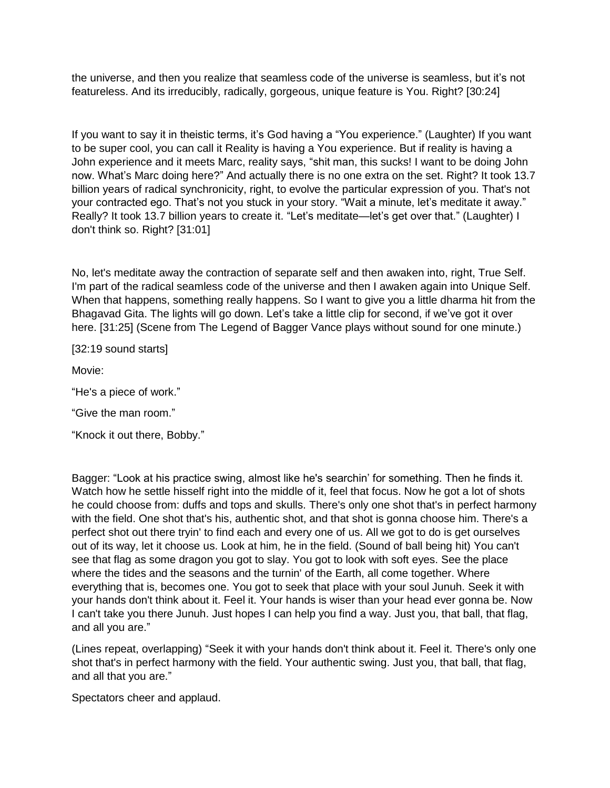the universe, and then you realize that seamless code of the universe is seamless, but it's not featureless. And its irreducibly, radically, gorgeous, unique feature is You. Right? [30:24]

If you want to say it in theistic terms, it's God having a "You experience." (Laughter) If you want to be super cool, you can call it Reality is having a You experience. But if reality is having a John experience and it meets Marc, reality says, "shit man, this sucks! I want to be doing John now. What's Marc doing here?" And actually there is no one extra on the set. Right? It took 13.7 billion years of radical synchronicity, right, to evolve the particular expression of you. That's not your contracted ego. That's not you stuck in your story. "Wait a minute, let's meditate it away." Really? It took 13.7 billion years to create it. "Let's meditate—let's get over that." (Laughter) I don't think so. Right? [31:01]

No, let's meditate away the contraction of separate self and then awaken into, right, True Self. I'm part of the radical seamless code of the universe and then I awaken again into Unique Self. When that happens, something really happens. So I want to give you a little dharma hit from the Bhagavad Gita. The lights will go down. Let's take a little clip for second, if we've got it over here. [31:25] (Scene from The Legend of Bagger Vance plays without sound for one minute.)

[32:19 sound starts]

Movie:

"He's a piece of work."

"Give the man room."

"Knock it out there, Bobby."

Bagger: "Look at his practice swing, almost like he's searchin' for something. Then he finds it. Watch how he settle hisself right into the middle of it, feel that focus. Now he got a lot of shots he could choose from: duffs and tops and skulls. There's only one shot that's in perfect harmony with the field. One shot that's his, authentic shot, and that shot is gonna choose him. There's a perfect shot out there tryin' to find each and every one of us. All we got to do is get ourselves out of its way, let it choose us. Look at him, he in the field. (Sound of ball being hit) You can't see that flag as some dragon you got to slay. You got to look with soft eyes. See the place where the tides and the seasons and the turnin' of the Earth, all come together. Where everything that is, becomes one. You got to seek that place with your soul Junuh. Seek it with your hands don't think about it. Feel it. Your hands is wiser than your head ever gonna be. Now I can't take you there Junuh. Just hopes I can help you find a way. Just you, that ball, that flag, and all you are."

(Lines repeat, overlapping) "Seek it with your hands don't think about it. Feel it. There's only one shot that's in perfect harmony with the field. Your authentic swing. Just you, that ball, that flag, and all that you are."

Spectators cheer and applaud.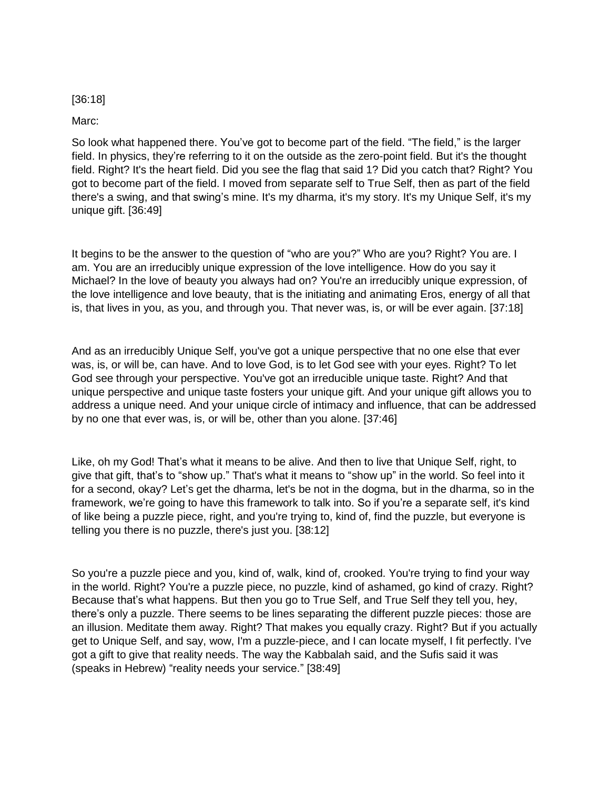## [36:18]

Marc:

So look what happened there. You've got to become part of the field. "The field," is the larger field. In physics, they're referring to it on the outside as the zero-point field. But it's the thought field. Right? It's the heart field. Did you see the flag that said 1? Did you catch that? Right? You got to become part of the field. I moved from separate self to True Self, then as part of the field there's a swing, and that swing's mine. It's my dharma, it's my story. It's my Unique Self, it's my unique gift. [36:49]

It begins to be the answer to the question of "who are you?" Who are you? Right? You are. I am. You are an irreducibly unique expression of the love intelligence. How do you say it Michael? In the love of beauty you always had on? You're an irreducibly unique expression, of the love intelligence and love beauty, that is the initiating and animating Eros, energy of all that is, that lives in you, as you, and through you. That never was, is, or will be ever again. [37:18]

And as an irreducibly Unique Self, you've got a unique perspective that no one else that ever was, is, or will be, can have. And to love God, is to let God see with your eyes. Right? To let God see through your perspective. You've got an irreducible unique taste. Right? And that unique perspective and unique taste fosters your unique gift. And your unique gift allows you to address a unique need. And your unique circle of intimacy and influence, that can be addressed by no one that ever was, is, or will be, other than you alone. [37:46]

Like, oh my God! That's what it means to be alive. And then to live that Unique Self, right, to give that gift, that's to "show up." That's what it means to "show up" in the world. So feel into it for a second, okay? Let's get the dharma, let's be not in the dogma, but in the dharma, so in the framework, we're going to have this framework to talk into. So if you're a separate self, it's kind of like being a puzzle piece, right, and you're trying to, kind of, find the puzzle, but everyone is telling you there is no puzzle, there's just you. [38:12]

So you're a puzzle piece and you, kind of, walk, kind of, crooked. You're trying to find your way in the world. Right? You're a puzzle piece, no puzzle, kind of ashamed, go kind of crazy. Right? Because that's what happens. But then you go to True Self, and True Self they tell you, hey, there's only a puzzle. There seems to be lines separating the different puzzle pieces: those are an illusion. Meditate them away. Right? That makes you equally crazy. Right? But if you actually get to Unique Self, and say, wow, I'm a puzzle-piece, and I can locate myself, I fit perfectly. I've got a gift to give that reality needs. The way the Kabbalah said, and the Sufis said it was (speaks in Hebrew) "reality needs your service." [38:49]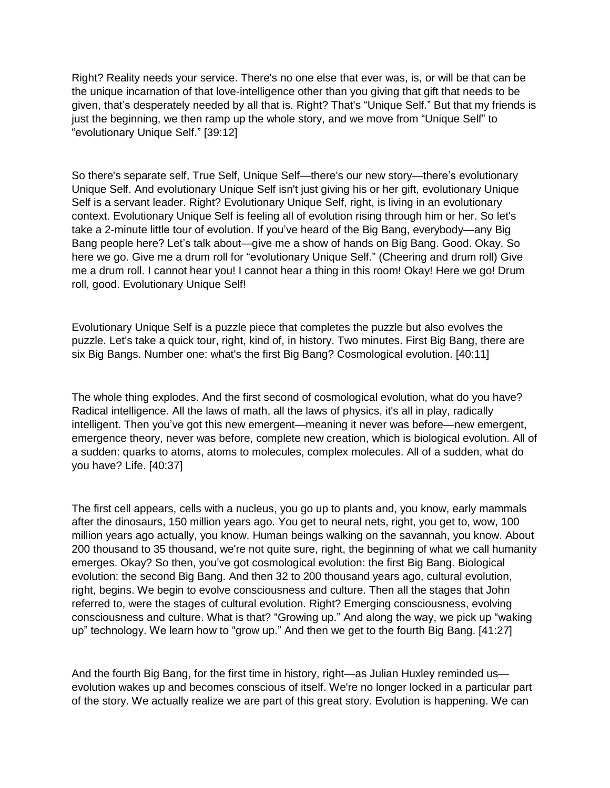Right? Reality needs your service. There's no one else that ever was, is, or will be that can be the unique incarnation of that love-intelligence other than you giving that gift that needs to be given, that's desperately needed by all that is. Right? That's "Unique Self." But that my friends is just the beginning, we then ramp up the whole story, and we move from "Unique Self" to "evolutionary Unique Self." [39:12]

So there's separate self, True Self, Unique Self—there's our new story—there's evolutionary Unique Self. And evolutionary Unique Self isn't just giving his or her gift, evolutionary Unique Self is a servant leader. Right? Evolutionary Unique Self, right, is living in an evolutionary context. Evolutionary Unique Self is feeling all of evolution rising through him or her. So let's take a 2-minute little tour of evolution. If you've heard of the Big Bang, everybody—any Big Bang people here? Let's talk about—give me a show of hands on Big Bang. Good. Okay. So here we go. Give me a drum roll for "evolutionary Unique Self." (Cheering and drum roll) Give me a drum roll. I cannot hear you! I cannot hear a thing in this room! Okay! Here we go! Drum roll, good. Evolutionary Unique Self!

Evolutionary Unique Self is a puzzle piece that completes the puzzle but also evolves the puzzle. Let's take a quick tour, right, kind of, in history. Two minutes. First Big Bang, there are six Big Bangs. Number one: what's the first Big Bang? Cosmological evolution. [40:11]

The whole thing explodes. And the first second of cosmological evolution, what do you have? Radical intelligence. All the laws of math, all the laws of physics, it's all in play, radically intelligent. Then you've got this new emergent—meaning it never was before—new emergent, emergence theory, never was before, complete new creation, which is biological evolution. All of a sudden: quarks to atoms, atoms to molecules, complex molecules. All of a sudden, what do you have? Life. [40:37]

The first cell appears, cells with a nucleus, you go up to plants and, you know, early mammals after the dinosaurs, 150 million years ago. You get to neural nets, right, you get to, wow, 100 million years ago actually, you know. Human beings walking on the savannah, you know. About 200 thousand to 35 thousand, we're not quite sure, right, the beginning of what we call humanity emerges. Okay? So then, you've got cosmological evolution: the first Big Bang. Biological evolution: the second Big Bang. And then 32 to 200 thousand years ago, cultural evolution, right, begins. We begin to evolve consciousness and culture. Then all the stages that John referred to, were the stages of cultural evolution. Right? Emerging consciousness, evolving consciousness and culture. What is that? "Growing up." And along the way, we pick up "waking up" technology. We learn how to "grow up." And then we get to the fourth Big Bang. [41:27]

And the fourth Big Bang, for the first time in history, right—as Julian Huxley reminded us evolution wakes up and becomes conscious of itself. We're no longer locked in a particular part of the story. We actually realize we are part of this great story. Evolution is happening. We can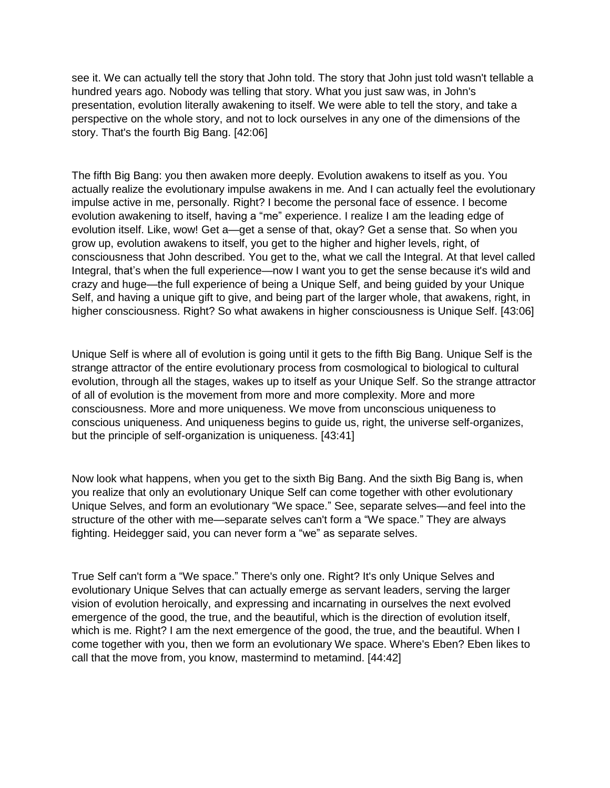see it. We can actually tell the story that John told. The story that John just told wasn't tellable a hundred years ago. Nobody was telling that story. What you just saw was, in John's presentation, evolution literally awakening to itself. We were able to tell the story, and take a perspective on the whole story, and not to lock ourselves in any one of the dimensions of the story. That's the fourth Big Bang. [42:06]

The fifth Big Bang: you then awaken more deeply. Evolution awakens to itself as you. You actually realize the evolutionary impulse awakens in me. And I can actually feel the evolutionary impulse active in me, personally. Right? I become the personal face of essence. I become evolution awakening to itself, having a "me" experience. I realize I am the leading edge of evolution itself. Like, wow! Get a—get a sense of that, okay? Get a sense that. So when you grow up, evolution awakens to itself, you get to the higher and higher levels, right, of consciousness that John described. You get to the, what we call the Integral. At that level called Integral, that's when the full experience—now I want you to get the sense because it's wild and crazy and huge—the full experience of being a Unique Self, and being guided by your Unique Self, and having a unique gift to give, and being part of the larger whole, that awakens, right, in higher consciousness. Right? So what awakens in higher consciousness is Unique Self. [43:06]

Unique Self is where all of evolution is going until it gets to the fifth Big Bang. Unique Self is the strange attractor of the entire evolutionary process from cosmological to biological to cultural evolution, through all the stages, wakes up to itself as your Unique Self. So the strange attractor of all of evolution is the movement from more and more complexity. More and more consciousness. More and more uniqueness. We move from unconscious uniqueness to conscious uniqueness. And uniqueness begins to guide us, right, the universe self-organizes, but the principle of self-organization is uniqueness. [43:41]

Now look what happens, when you get to the sixth Big Bang. And the sixth Big Bang is, when you realize that only an evolutionary Unique Self can come together with other evolutionary Unique Selves, and form an evolutionary "We space." See, separate selves—and feel into the structure of the other with me—separate selves can't form a "We space." They are always fighting. Heidegger said, you can never form a "we" as separate selves.

True Self can't form a "We space." There's only one. Right? It's only Unique Selves and evolutionary Unique Selves that can actually emerge as servant leaders, serving the larger vision of evolution heroically, and expressing and incarnating in ourselves the next evolved emergence of the good, the true, and the beautiful, which is the direction of evolution itself, which is me. Right? I am the next emergence of the good, the true, and the beautiful. When I come together with you, then we form an evolutionary We space. Where's Eben? Eben likes to call that the move from, you know, mastermind to metamind. [44:42]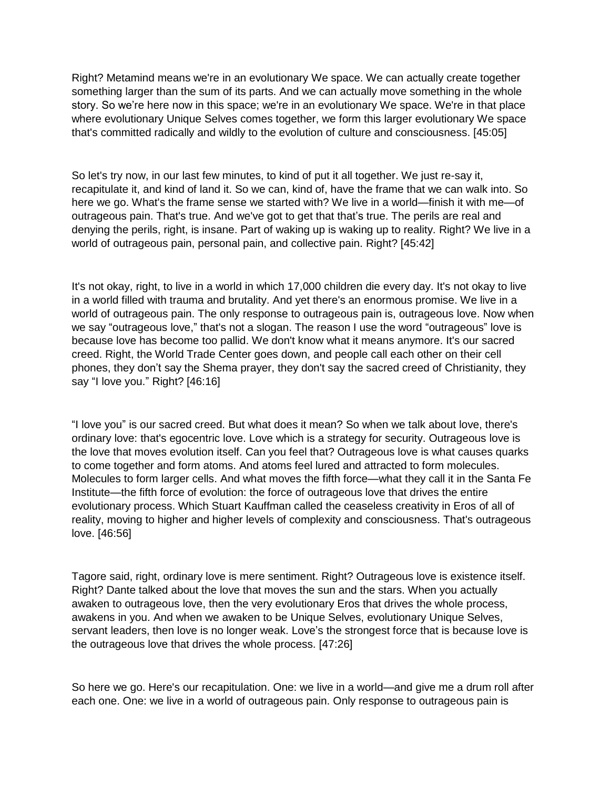Right? Metamind means we're in an evolutionary We space. We can actually create together something larger than the sum of its parts. And we can actually move something in the whole story. So we're here now in this space; we're in an evolutionary We space. We're in that place where evolutionary Unique Selves comes together, we form this larger evolutionary We space that's committed radically and wildly to the evolution of culture and consciousness. [45:05]

So let's try now, in our last few minutes, to kind of put it all together. We just re-say it, recapitulate it, and kind of land it. So we can, kind of, have the frame that we can walk into. So here we go. What's the frame sense we started with? We live in a world—finish it with me—of outrageous pain. That's true. And we've got to get that that's true. The perils are real and denying the perils, right, is insane. Part of waking up is waking up to reality. Right? We live in a world of outrageous pain, personal pain, and collective pain. Right? [45:42]

It's not okay, right, to live in a world in which 17,000 children die every day. It's not okay to live in a world filled with trauma and brutality. And yet there's an enormous promise. We live in a world of outrageous pain. The only response to outrageous pain is, outrageous love. Now when we say "outrageous love," that's not a slogan. The reason I use the word "outrageous" love is because love has become too pallid. We don't know what it means anymore. It's our sacred creed. Right, the World Trade Center goes down, and people call each other on their cell phones, they don't say the Shema prayer, they don't say the sacred creed of Christianity, they say "I love you." Right? [46:16]

"I love you" is our sacred creed. But what does it mean? So when we talk about love, there's ordinary love: that's egocentric love. Love which is a strategy for security. Outrageous love is the love that moves evolution itself. Can you feel that? Outrageous love is what causes quarks to come together and form atoms. And atoms feel lured and attracted to form molecules. Molecules to form larger cells. And what moves the fifth force—what they call it in the Santa Fe Institute—the fifth force of evolution: the force of outrageous love that drives the entire evolutionary process. Which Stuart Kauffman called the ceaseless creativity in Eros of all of reality, moving to higher and higher levels of complexity and consciousness. That's outrageous love. [46:56]

Tagore said, right, ordinary love is mere sentiment. Right? Outrageous love is existence itself. Right? Dante talked about the love that moves the sun and the stars. When you actually awaken to outrageous love, then the very evolutionary Eros that drives the whole process, awakens in you. And when we awaken to be Unique Selves, evolutionary Unique Selves, servant leaders, then love is no longer weak. Love's the strongest force that is because love is the outrageous love that drives the whole process. [47:26]

So here we go. Here's our recapitulation. One: we live in a world—and give me a drum roll after each one. One: we live in a world of outrageous pain. Only response to outrageous pain is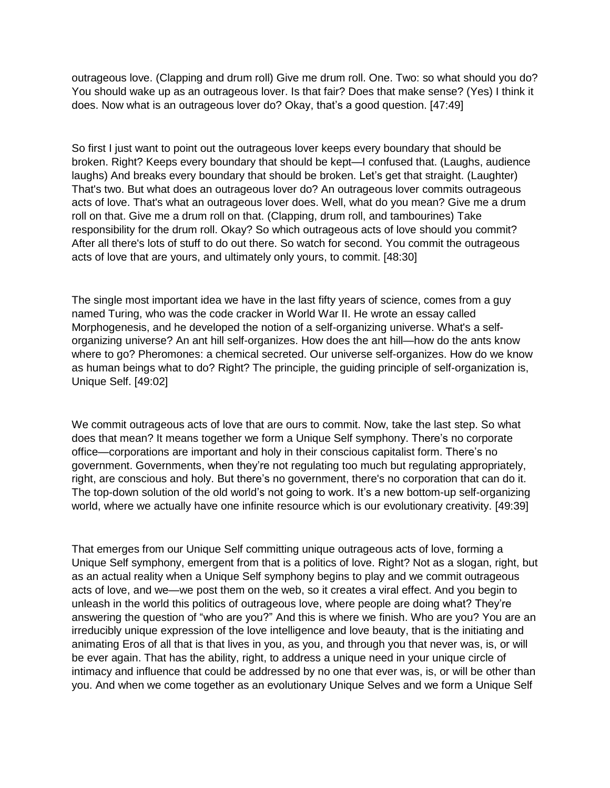outrageous love. (Clapping and drum roll) Give me drum roll. One. Two: so what should you do? You should wake up as an outrageous lover. Is that fair? Does that make sense? (Yes) I think it does. Now what is an outrageous lover do? Okay, that's a good question. [47:49]

So first I just want to point out the outrageous lover keeps every boundary that should be broken. Right? Keeps every boundary that should be kept—I confused that. (Laughs, audience laughs) And breaks every boundary that should be broken. Let's get that straight. (Laughter) That's two. But what does an outrageous lover do? An outrageous lover commits outrageous acts of love. That's what an outrageous lover does. Well, what do you mean? Give me a drum roll on that. Give me a drum roll on that. (Clapping, drum roll, and tambourines) Take responsibility for the drum roll. Okay? So which outrageous acts of love should you commit? After all there's lots of stuff to do out there. So watch for second. You commit the outrageous acts of love that are yours, and ultimately only yours, to commit. [48:30]

The single most important idea we have in the last fifty years of science, comes from a guy named Turing, who was the code cracker in World War II. He wrote an essay called Morphogenesis, and he developed the notion of a self-organizing universe. What's a selforganizing universe? An ant hill self-organizes. How does the ant hill—how do the ants know where to go? Pheromones: a chemical secreted. Our universe self-organizes. How do we know as human beings what to do? Right? The principle, the guiding principle of self-organization is, Unique Self. [49:02]

We commit outrageous acts of love that are ours to commit. Now, take the last step. So what does that mean? It means together we form a Unique Self symphony. There's no corporate office—corporations are important and holy in their conscious capitalist form. There's no government. Governments, when they're not regulating too much but regulating appropriately, right, are conscious and holy. But there's no government, there's no corporation that can do it. The top-down solution of the old world's not going to work. It's a new bottom-up self-organizing world, where we actually have one infinite resource which is our evolutionary creativity. [49:39]

That emerges from our Unique Self committing unique outrageous acts of love, forming a Unique Self symphony, emergent from that is a politics of love. Right? Not as a slogan, right, but as an actual reality when a Unique Self symphony begins to play and we commit outrageous acts of love, and we—we post them on the web, so it creates a viral effect. And you begin to unleash in the world this politics of outrageous love, where people are doing what? They're answering the question of "who are you?" And this is where we finish. Who are you? You are an irreducibly unique expression of the love intelligence and love beauty, that is the initiating and animating Eros of all that is that lives in you, as you, and through you that never was, is, or will be ever again. That has the ability, right, to address a unique need in your unique circle of intimacy and influence that could be addressed by no one that ever was, is, or will be other than you. And when we come together as an evolutionary Unique Selves and we form a Unique Self